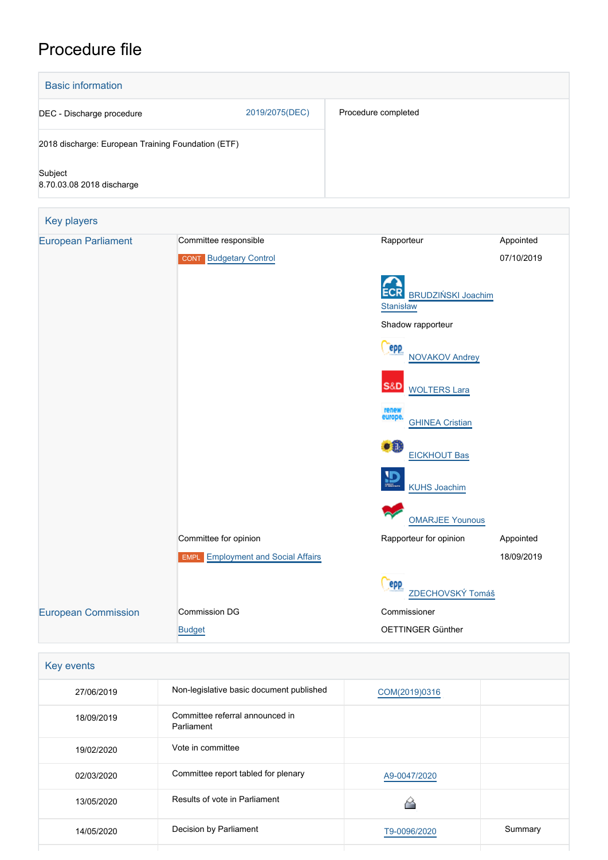# Procedure file



| Key events |                                               |               |         |
|------------|-----------------------------------------------|---------------|---------|
| 27/06/2019 | Non-legislative basic document published      | COM(2019)0316 |         |
| 18/09/2019 | Committee referral announced in<br>Parliament |               |         |
| 19/02/2020 | Vote in committee                             |               |         |
| 02/03/2020 | Committee report tabled for plenary           | A9-0047/2020  |         |
| 13/05/2020 | Results of vote in Parliament                 |               |         |
| 14/05/2020 | Decision by Parliament                        | T9-0096/2020  | Summary |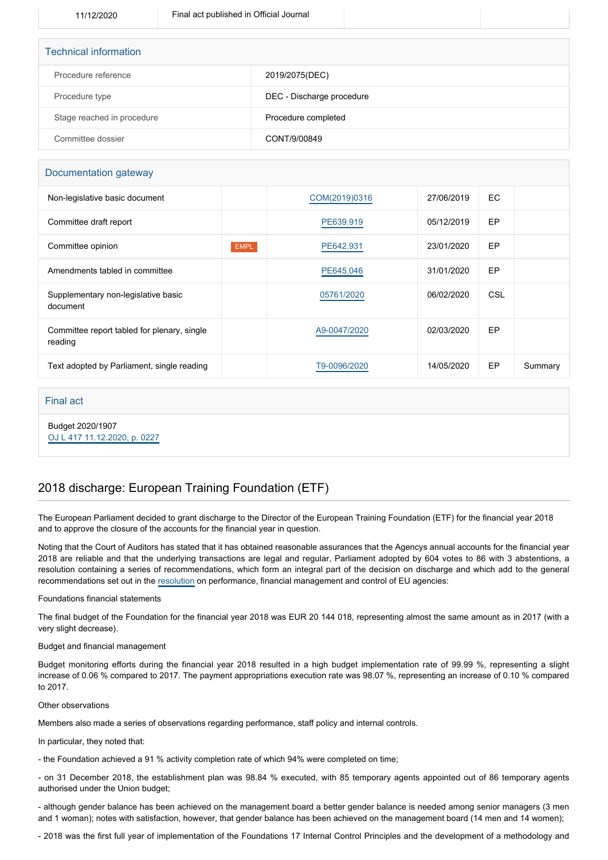| <b>Technical information</b> |                           |
|------------------------------|---------------------------|
| Procedure reference          | 2019/2075(DEC)            |
| Procedure type               | DEC - Discharge procedure |
| Stage reached in procedure   | Procedure completed       |
| Committee dossier            | CONT/9/00849              |

## Documentation gateway

| Non-legislative basic document                         |             | COM(2019)0316 | 27/06/2019 | EC.        |         |
|--------------------------------------------------------|-------------|---------------|------------|------------|---------|
| Committee draft report                                 |             | PE639.919     | 05/12/2019 | EP         |         |
| Committee opinion                                      | <b>EMPL</b> | PE642.931     | 23/01/2020 | EP         |         |
| Amendments tabled in committee                         |             | PE645.046     | 31/01/2020 | EP         |         |
| Supplementary non-legislative basic<br>document        |             | 05761/2020    | 06/02/2020 | <b>CSL</b> |         |
| Committee report tabled for plenary, single<br>reading |             | A9-0047/2020  | 02/03/2020 | EP         |         |
| Text adopted by Parliament, single reading             |             | T9-0096/2020  | 14/05/2020 | EP         | Summary |
|                                                        |             |               |            |            |         |

### Final act

Budget 2020/1907 [OJ L 417 11.12.2020, p. 0227](https://eur-lex.europa.eu/legal-content/EN/TXT/?uri=OJ:L:2020:417:TOC)

# 2018 discharge: European Training Foundation (ETF)

The European Parliament decided to grant discharge to the Director of the European Training Foundation (ETF) for the financial year 2018 and to approve the closure of the accounts for the financial year in question.

Noting that the Court of Auditors has stated that it has obtained reasonable assurances that the Agencys annual accounts for the financial year 2018 are reliable and that the underlying transactions are legal and regular, Parliament adopted by 604 votes to 86 with 3 abstentions, a resolution containing a series of recommendations, which form an integral part of the decision on discharge and which add to the general recommendations set out in the [resolution](https://oeil.secure.europarl.europa.eu/oeil/popups/ficheprocedure.do?lang=en&reference=2019/2098(DEC)) on performance, financial management and control of EU agencies:

### Foundations financial statements

The final budget of the Foundation for the financial year 2018 was EUR 20 144 018, representing almost the same amount as in 2017 (with a very slight decrease).

#### Budget and financial management

Budget monitoring efforts during the financial year 2018 resulted in a high budget implementation rate of 99.99 %, representing a slight increase of 0.06 % compared to 2017. The payment appropriations execution rate was 98.07 %, representing an increase of 0.10 % compared to 2017.

### Other observations

Members also made a series of observations regarding performance, staff policy and internal controls.

In particular, they noted that:

- the Foundation achieved a 91 % activity completion rate of which 94% were completed on time;

- on 31 December 2018, the establishment plan was 98.84 % executed, with 85 temporary agents appointed out of 86 temporary agents authorised under the Union budget;

- although gender balance has been achieved on the management board a better gender balance is needed among senior managers (3 men and 1 woman); notes with satisfaction, however, that gender balance has been achieved on the management board (14 men and 14 women);

- 2018 was the first full year of implementation of the Foundations 17 Internal Control Principles and the development of a methodology and